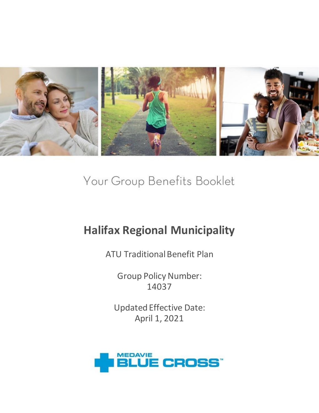

# Your Group Benefits Booklet

# **Halifax Regional Municipality**

ATU Traditional Benefit Plan

Group Policy Number: 14037

Updated Effective Date: April 1, 2021

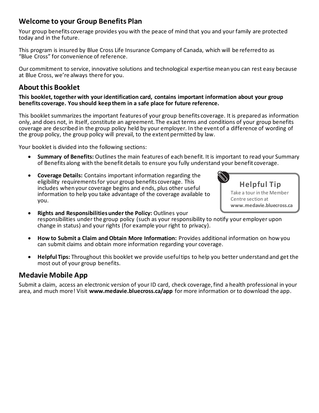## **Welcome to your Group Benefits Plan**

Your group benefits coverage provides you with the peace of mind that you and your family are protected today and in the future.

This program is insured by Blue Cross Life Insurance Company of Canada, which will be referred to as "Blue Cross" for convenience of reference.

Our commitment to service, innovative solutions and technological expertise mean you can rest easy because at Blue Cross, we're always there for you.

## **About this Booklet**

**This booklet, together with your identification card, contains important information about your group benefits coverage. You should keep them in a safe place for future reference.**

This booklet summarizes the important features of your group benefits coverage. It is prepared as information only, and does not, in itself, constitute an agreement. The exact terms and conditions of your group benefits coverage are described in the group policy held by your employer. In the event of a difference of wording of the group policy, the group policy will prevail, to the extent permitted by law.

Your booklet is divided into the following sections:

- **Summary of Benefits:** Outlines the main features of each benefit. It is important to read your Summary of Benefits along with the benefit details to ensure you fully understand your benefit coverage.
- **Coverage Details:** Contains important information regarding the eligibility requirements for your group benefits coverage. This includes when your coverage begins and ends, plus other useful information to help you take advantage of the coverage available to you.



- **Rights and Responsibilities under the Policy:** Outlines your responsibilities under the group policy (such as your responsibility to notify your employer upon change in status) and your rights (for example your right to privacy).
- **How to Submit a Claim and Obtain More Information:** Provides additional information on how you can submit claims and obtain more information regarding your coverage.
- **Helpful Tips:** Throughout this booklet we provide useful tips to help you better understand and get the most out of your group benefits.

## **Medavie Mobile App**

Submit a claim, access an electronic version of your ID card, check coverage, find a health professional in your area, and much more! Visit **www.medavie.bluecross.ca/app** for more information or to download the app.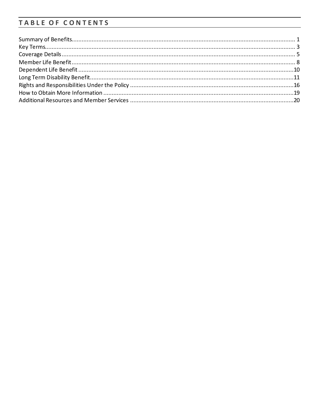## TABLE OF CONTENTS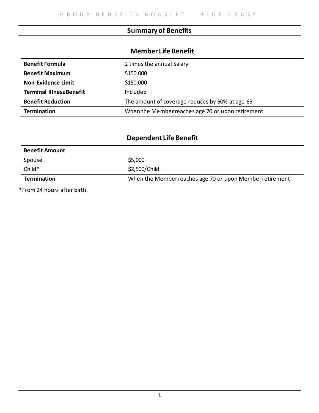#### **Summary of Benefits**

## **Member Life Benefit Benefit Formula** 2 times the annual Salary **Benefit Maximum** \$150,000 **Non-Evidence Limit** \$150,000 **Terminal Illness Benefit** Included **Benefit Reduction** The amount of coverage reduces by 50% at age 65 **Termination** When the Member reaches age 70 or upon retirement

## **Dependent Life Benefit Benefit Amount**  $$5,000$ Child\*  $$2,500/Child$ **Termination** When the Member reaches age 70 or upon Member retirement

\*From 24 hours after birth.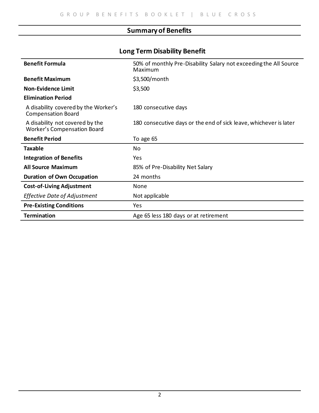## **Summary of Benefits**

## **Long Term Disability Benefit**

| <b>Benefit Formula</b>                                                | 50% of monthly Pre-Disability Salary not exceeding the All Source<br>Maximum |
|-----------------------------------------------------------------------|------------------------------------------------------------------------------|
| <b>Benefit Maximum</b>                                                | \$3,500/month                                                                |
| <b>Non-Evidence Limit</b>                                             | \$3,500                                                                      |
| <b>Elimination Period</b>                                             |                                                                              |
| A disability covered by the Worker's<br><b>Compensation Board</b>     | 180 consecutive days                                                         |
| A disability not covered by the<br><b>Worker's Compensation Board</b> | 180 consecutive days or the end of sick leave, whichever is later            |
| <b>Benefit Period</b>                                                 | To age 65                                                                    |
| <b>Taxable</b>                                                        | No                                                                           |
| <b>Integration of Benefits</b>                                        | Yes                                                                          |
| <b>All Source Maximum</b>                                             | 85% of Pre-Disability Net Salary                                             |
| <b>Duration of Own Occupation</b>                                     | 24 months                                                                    |
| <b>Cost-of-Living Adjustment</b>                                      | None                                                                         |
| <b>Effective Date of Adjustment</b>                                   | Not applicable                                                               |
| <b>Pre-Existing Conditions</b>                                        | Yes                                                                          |
| <b>Termination</b>                                                    | Age 65 less 180 days or at retirement                                        |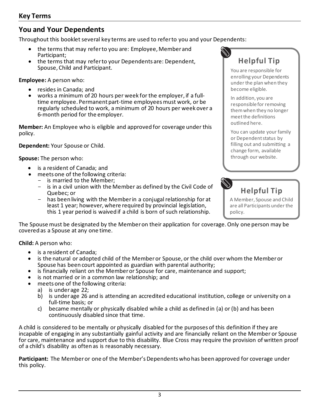## **You and Your Dependents**

Throughout this booklet several key terms are used to refer to you and your Dependents:

- the terms that may refer to you are: Employee, Member and Participant;
- the terms that may refer to your Dependents are: Dependent, Spouse, Child and Participant.

**Employee:** A person who:

- resides in Canada; and
- works a minimum of 20 hours per week for the employer, if a fulltime employee. Permanent part-time employees must work, or be regularly scheduled to work, a minimum of 20 hours per week over a 6-month period for the employer.

**Member:** An Employee who is eligible and approved for coverage under this policy.

**Dependent:** Your Spouse or Child.

**Spouse:** The person who:

- is a resident of Canada; and
- meets one of the following criteria:
	- is married to the Member;
	- is in a civil union with the Member as defined by the Civil Code of Quebec; or
	- has been living with the Member in a conjugal relationship for at least 1 year; however, where required by provincial legislation, this 1 year period is waived if a child is born of such relationship.



You are responsible for enrolling your Dependents under the plan when they become eligible.

In addition, you are responsible for removing them when they no longer meet the definitions outlined here.

You can update your family or Dependent status by filling out and submitting a change form, available through our website.



# **Helpful Tip**

A Member, Spouse and Child are all Participants under the policy.

The Spouse must be designated by the Member on their application for coverage. Only one person may be covered as a Spouse at any one time.

**Child:** A person who:

- is a resident of Canada;
- is the natural or adopted child of the Member or Spouse, or the child over whom the Member or Spouse has been court appointed as guardian with parental authority;
- is financially reliant on the Member or Spouse for care, maintenance and support;
- is not married or in a common law relationship; and
- meets one of the following criteria:
	- a) is under age 22;
	- b) is under age 26 and is attending an accredited educational institution, college or university on a full-time basis; or
	- c) became mentally or physically disabled while a child as defined in (a) or (b) and has been continuously disabled since that time.

A child is considered to be mentally or physically disabled for the purposes of this definition if they are incapable of engaging in any substantially gainful activity and are financially reliant on the Member or Spouse for care, maintenance and support due to this disability. Blue Cross may require the provision of written proof of a child's disability as often as is reasonably necessary.

**Participant:** The Member or one of the Member's Dependents who has been approved for coverage under this policy.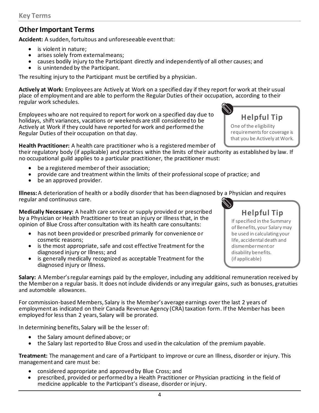## **Other Important Terms**

**Accident:** A sudden, fortuitous and unforeseeable event that:

- is violent in nature;
- arises solely from external means:
- causes bodily injury to the Participant directly and independently of all other causes; and
- is unintended by the Participant.

The resulting injury to the Participant must be certified by a physician.

**Actively at Work:** Employees are Actively at Work on a specified day if they report for work at their usual place of employment and are able to perform the Regular Duties of their occupation, according to their regular work schedules.

Employees who are not required to report for work on a specified day due to holidays, shift variances, vacations or weekends are still considered to be Actively at Work if they could have reported for work and performed the Regular Duties of their occupation on that day.

**Health Practitioner:** A health care practitioner who is a registered member of

their regulatory body (if applicable) and practices within the limits of their authority as established by law. If no occupational guild applies to a particular practitioner, the practitioner must:

- be a registered member of their association;
- provide care and treatment within the limits of their professional scope of practice; and
- be an approved provider.

**Illness:**A deterioration of health or a bodily disorder that has been diagnosed by a Physician and requires regular and continuous care.

**Medically Necessary:** A health care service or supply provided or prescribed by a Physician or Health Practitioner to treat an injury or Illness that, in the opinion of Blue Cross after consultation with its health care consultants:

- has not been provided or prescribed primarily for convenience or cosmetic reasons;
- is the most appropriate, safe and cost effective Treatment for the diagnosed injury or Illness; and
- is generally medically recognized as acceptable Treatment for the diagnosed injury or Illness.

**Salary:** A Member's regular earnings paid by the employer, including any additional remuneration received by the Member on a regular basis. It does not include dividends or any irregular gains, such as bonuses, gratuities and automobile allowances.

For commission-based Members, Salary is the Member's average earnings over the last 2 years of employment as indicated on their Canada Revenue Agency (CRA) taxation form. If the Member has been employed for less than 2 years, Salary will be prorated.

In determining benefits, Salary will be the lesser of:

- the Salary amount defined above; or
- the Salary last reported to Blue Cross and used in the calculation of the premium payable.

**Treatment:** The management and care of a Participant to improve or cure an Illness, disorder or injury. This management and care must be:

- considered appropriate and approved by Blue Cross; and
- prescribed, provided or performed by a Health Practitioner or Physician practicing in the field of medicine applicable to the Participant's disease, disorder or injury.

4

**Helpful Tip** One of the eligibility

requirements for coverage is that you be Actively at Work.



If specified in the Summary of Benefits, your Salary may be used in calculating your life, accidental death and dismemberment or disability benefits. (if applicable)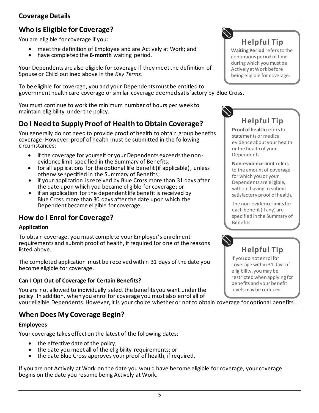## **Who is Eligible for Coverage?**

You are eligible for coverage if you:

- meet the definition of Employee and are Actively at Work; and
- have completed the **6-month** waiting period.

Your Dependents are also eligible for coverage if they meet the definition of Spouse or Child outlined above in the *Key Terms*.

To be eligible for coverage, you and your Dependents must be entitled to government health care coverage or similar coverage deemed satisfactory by Blue Cross.

You must continue to work the minimum number of hours per week to maintain eligibility under the policy.

## **Do I Need to Supply Proof of Health to Obtain Coverage?**

You generally do not need to provide proof of health to obtain group benefits coverage. However, proof of health must be submitted in the following circumstances:

- if the coverage for yourself or your Dependents exceeds the nonevidence limit specified in the Summary of Benefits;
- for all applications for the optional life benefit (if applicable), unless otherwise specified in the Summary of Benefits;
- if your application is received by Blue Cross more than 31 days after the date upon which you became eligible for coverage; or
- if an application for the dependent life benefit is received by Blue Cross more than 30 days after the date upon which the Dependent became eligible for coverage.

## **How do I Enrol for Coverage?**

#### **Application**

To obtain coverage, you must complete your Employer's enrolment requirements and submit proof of health, if required for one of the reasons listed above.

The completed application must be received within 31 days of the date you become eligible for coverage.

#### **Can I Opt Out of Coverage for Certain Benefits?**

You are not allowed to individually select the benefits you want under the policy. In addition, when you enrol for coverage you must also enrol all of

your eligible Dependents. However, it is your choice whether or not to obtain coverage for optional benefits.

## **When Does My Coverage Begin?**

#### **Employees**

Your coverage takes effect on the latest of the following dates:

- the effective date of the policy;
- the date you meet all of the eligibility requirements; or
- the date Blue Cross approves your proof of health, if required.

If you are not Actively at Work on the date you would have become eligible for coverage, your coverage begins on the date you resume being Actively at Work.

**Helpful Tip**

**Waiting Period** refers to the continuous period of time during which you must be Actively at Work before being eligible for coverage.

**Helpful Tip Proof of health** refers to

statements or medical evidence about your health or the health of your Dependents.

**Non-evidence limit** refers to the amount of coverage for which you or your Dependents are eligible, without having to submit satisfactory proof of health.

The non-evidence limits for each benefit (if any) are specified in the Summary of Benefits.

# **Helpful Tip**

If you do not enrol for coverage within 31 days of eligibility, you may be restricted when applying for benefits and your benefit levels may be reduced.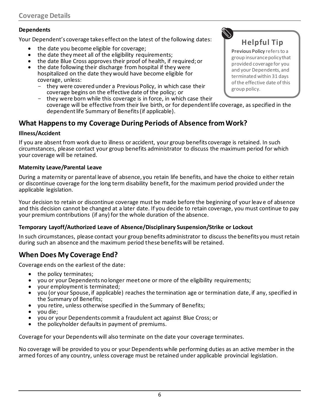#### **Dependents**

Your Dependent's coverage takes effect on the latest of the following dates:

- the date you become eligible for coverage;
- the date they meet all of the eligibility requirements;
- the date Blue Cross approves their proof of health, if required; or
- the date following their discharge from hospital if they were hospitalized on the date they would have become eligible for coverage, unless:
	- they were covered under a Previous Policy, in which case their coverage begins on the effective date of the policy; or
	- they were born while this coverage is in force, in which case their coverage will be effective from their live birth, or for dependent life coverage, as specified in the dependent life Summary of Benefits (if applicable).

## **What Happens to my Coverage During Periods of Absence from Work?**

#### **Illness/Accident**

If you are absent from work due to illness or accident, your group benefits coverage is retained. In such circumstances, please contact your group benefits administrator to discuss the maximum period for which your coverage will be retained.

#### **Maternity Leave/Parental Leave**

During a maternity or parental leave of absence, you retain life benefits, and have the choice to either retain or discontinue coverage for the long term disability benefit, for the maximum period provided under the applicable legislation.

Your decision to retain or discontinue coverage must be made before the beginning of your leav e of absence and this decision cannot be changed at a later date. If you decide to retain coverage, you must continue to pay your premium contributions (if any) for the whole duration of the absence.

#### **Temporary Layoff/Authorized Leave of Absence/Disciplinary Suspension/Strike or Lockout**

In such circumstances, please contact your group benefits administrator to discuss the benefits you must retain during such an absence and the maximum period these benefits will be retained.

## **When Does My Coverage End?**

Coverage ends on the earliest of the date:

- the policy terminates;
- you or your Dependents no longer meet one or more of the eligibility requirements;
- your employment is terminated;
- you (or your Spouse, if applicable) reaches the termination age or termination date, if any, specified in the Summary of Benefits;
- you retire, unless otherwise specified in the Summary of Benefits;
- you die;
- you or your Dependents commit a fraudulent act against Blue Cross; or
- the policyholder defaults in payment of premiums.

Coverage for your Dependents will also terminate on the date your coverage terminates.

No coverage will be provided to you or your Dependents while performing duties as an active member in the armed forces of any country, unless coverage must be retained under applicable provincial legislation.

**Helpful Tip**

**Previous Policy** refers to a group insurance policy that provided coverage for you and your Dependents, and terminated within 31 days of the effective date of this group policy.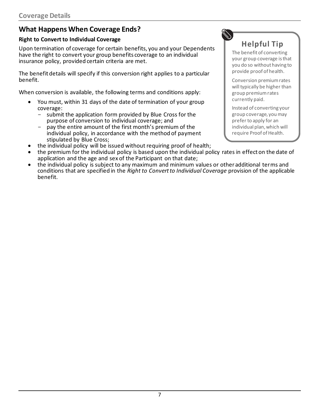## **What Happens When Coverage Ends?**

#### **Right to Convert to Individual Coverage**

Upon termination of coverage for certain benefits, you and your Dependents have the right to convert your group benefits coverage to an individual insurance policy, provided certain criteria are met.

The benefit details will specify if this conversion right applies to a particular benefit.

When conversion is available, the following terms and conditions apply:

- You must, within 31 days of the date of termination of your group coverage:
	- submit the application form provided by Blue Cross for the purpose of conversion to individual coverage; and
	- pay the entire amount of the first month's premium of the individual policy, in accordance with the method of payment stipulated by Blue Cross;
- the individual policy will be issued without requiring proof of health;
- the premium for the individual policy is based upon the individual policy rates in effect on the date of application and the age and sex of the Participant on that date;
- the individual policy is subject to any maximum and minimum values or other additional terms and conditions that are specified in the *Right to Convert to Individual Coverage* provision of the applicable benefit.

## **Helpful Tip**

The benefit of converting your group coverage is that you do so without having to provide proof of health.

Conversion premium rates will typically be higher than group premium rates currently paid.

Instead of converting your group coverage, you may prefer to apply for an individual plan, which will require Proof of Health.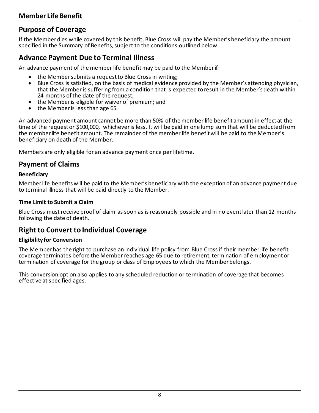## **Purpose of Coverage**

If the Member dies while covered by this benefit, Blue Cross will pay the Member's beneficiary the amount specified in the Summary of Benefits, subject to the conditions outlined below.

## **Advance Payment Due to Terminal Illness**

An advance payment of the member life benefit may be paid to the Member if:

- the Member submits a request to Blue Cross in writing;
- Blue Cross is satisfied, on the basis of medical evidence provided by the Member's attending physician, that the Member is suffering from a condition that is expected to result in the Member's death within 24 months of the date of the request;
- the Member is eligible for waiver of premium; and
- the Member is less than age 65.

An advanced payment amount cannot be more than 50% of the member life benefit amount in effect at the time of the request or \$100,000, whichever is less. It will be paid in one lump sum that will be deducted from the member life benefit amount. The remainder of the member life benefit will be paid to the Member's beneficiary on death of the Member.

Members are only eligible for an advance payment once per lifetime.

## **Payment of Claims**

#### **Beneficiary**

Member life benefits will be paid to the Member's beneficiary with the exception of an advance payment due to terminal illness that will be paid directly to the Member.

#### **Time Limit to Submit a Claim**

Blue Cross must receive proof of claim as soon as is reasonably possible and in no event later than 12 months following the date of death.

#### **Right to Convert to Individual Coverage**

#### **Eligibility for Conversion**

The Member has the right to purchase an individual life policy from Blue Cross if their member life benefit coverage terminates before the Member reaches age 65 due to retirement, termination of employment or termination of coverage for the group or class of Employees to which the Member belongs.

This conversion option also applies to any scheduled reduction or termination of coverage that becomes effective at specified ages.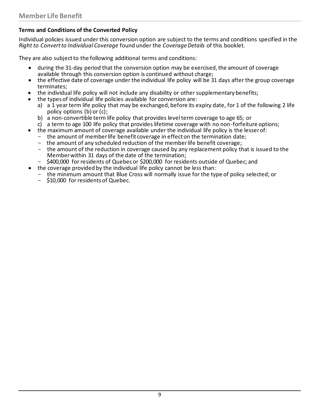#### **Terms and Conditions of the Converted Policy**

Individual policies issued under this conversion option are subject to the terms and conditions specified in the *Right to Convert to Individual Coverage* found under the *Coverage Details* of this booklet.

They are also subject to the following additional terms and conditions:

- during the 31-day period that the conversion option may be exercised, the amount of coverage available through this conversion option is continued without charge;
- the effective date of coverage under the individual life policy will be 31 days after the group coverage terminates;
- the individual life policy will not include any disability or other supplementary benefits;
- the types of individual life policies available for conversion are:
	- a) a 1 year term life policy that may be exchanged, before its expiry date, for 1 of the following 2 life policy options (b) or (c);
	- b) a non-convertible term life policy that provides level term coverage to age 65; or
	- c) a term to age 100 life policy that provides lifetime coverage with no non-forfeiture options;
- the maximum amount of coverage available under the individual life policy is the lesser of:
	- the amount of member life benefit coverage in effect on the termination date;
	- the amount of any scheduled reduction of the member life benefit coverage;
	- the amount of the reduction in coverage caused by any replacement policy that is issued to the Member within 31 days of the date of the termination;
	- \$400,000 for residents of Quebec or \$200,000 for residents outside of Quebec; and
	- the coverage provided by the individual life policy cannot be less than:
		- the minimum amount that Blue Cross will normally issue for the type of policy selected; or
		- \$10,000 for residents of Quebec.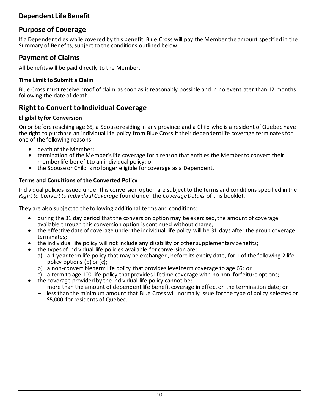## **Purpose of Coverage**

If a Dependent dies while covered by this benefit, Blue Cross will pay the Member the amount specified in the Summary of Benefits, subject to the conditions outlined below.

## **Payment of Claims**

All benefits will be paid directly to the Member.

#### **Time Limit to Submit a Claim**

Blue Cross must receive proof of claim as soon as is reasonably possible and in no event later than 12 months following the date of death.

## **Right to Convert to Individual Coverage**

#### **Eligibility for Conversion**

On or before reaching age 65, a Spouse residing in any province and a Child who is a resident of Quebec have the right to purchase an individual life policy from Blue Cross if their dependent life coverage terminates for one of the following reasons:

- death of the Member;
- termination of the Member's life coverage for a reason that entitles the Member to convert their member life benefit to an individual policy; or
- the Spouse or Child is no longer eligible for coverage as a Dependent.

#### **Terms and Conditions of the Converted Policy**

Individual policies issued under this conversion option are subject to the terms and conditions specified in the *Right to Convert to Individual Coverage* found under the *Coverage Details* of this booklet.

They are also subject to the following additional terms and conditions:

- during the 31 day period that the conversion option may be exercised, the amount of coverage available through this conversion option is continued without charge;
- the effective date of coverage under the individual life policy will be 31 days after the group coverage terminates;
- the individual life policy will not include any disability or other supplementary benefits;
- the types of individual life policies available for conversion are:
	- a) a 1 year term life policy that may be exchanged, before its expiry date, for 1 of the following 2 life policy options (b) or (c);
	- b) a non-convertible term life policy that provides level term coverage to age 65; or
	- c) a term to age 100 life policy that provides lifetime coverage with no non-forfeiture options;
- the coverage provided by the individual life policy cannot be:
	- more than the amount of dependent life benefit coverage in effect on the termination date; or
	- less than the minimum amount that Blue Cross will normally issue for the type of policy selected or \$5,000 for residents of Quebec.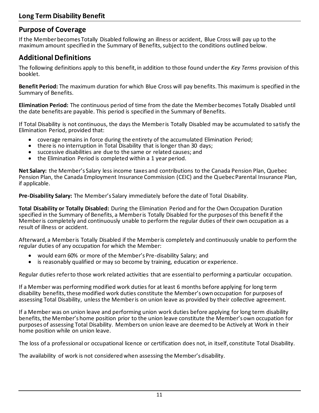#### **Purpose of Coverage**

If the Member becomes Totally Disabled following an illness or accident, Blue Cross will pay up to the maximum amount specified in the Summary of Benefits, subject to the conditions outlined below.

## **Additional Definitions**

The following definitions apply to this benefit, in addition to those found under the *Key Terms* provision of this booklet.

**Benefit Period:** The maximum duration for which Blue Cross will pay benefits. This maximum is specified in the Summary of Benefits.

**Elimination Period:** The continuous period of time from the date the Member becomes Totally Disabled until the date benefits are payable. This period is specified in the Summary of Benefits.

If Total Disability is not continuous, the days the Member is Totally Disabled may be accumulated to satisfy the Elimination Period, provided that:

- coverage remains in force during the entirety of the accumulated Elimination Period;
- there is no interruption in Total Disability that is longer than 30 days;
- successive disabilities are due to the same or related causes; and
- the Elimination Period is completed within a 1 year period.

**Net Salary:** the Member's Salary less income taxes and contributions to the Canada Pension Plan, Quebec Pension Plan, the Canada Employment Insurance Commission (CEIC) and the Quebec Parental Insurance Plan, if applicable.

**Pre-Disability Salary:** The Member's Salary immediately before the date of Total Disability.

**Total Disability or Totally Disabled:** During the Elimination Period and for the Own Occupation Duration specified in the Summary of Benefits, a Member is Totally Disabled for the purposes of this benefit if the Member is completely and continuously unable to perform the regular duties of their own occupation as a result of illness or accident.

Afterward, a Member is Totally Disabled if the Member is completely and continuously unable to perform the regular duties of any occupation for which the Member:

- would earn 60% or more of the Member's Pre-disability Salary; and
- is reasonably qualified or may so become by training, education or experience.

Regular duties refer to those work related activities that are essential to performing a particular occupation.

If a Member was performing modified work duties for at least 6 months before applying for long term disability benefits, these modified work duties constitute the Member's own occupation for purposes of assessing Total Disability, unless the Member is on union leave as provided by their collective agreement.

If a Member was on union leave and performing union work duties before applying for long term disability benefits, the Member's home position prior to the union leave constitute the Member's own occupation for purposes of assessing Total Disability. Members on union leave are deemed to be Actively at Work in their home position while on union leave.

The loss of a professional or occupational licence or certification does not, in itself, constitute Total Disability.

The availability of work is not considered when assessing the Member's disability.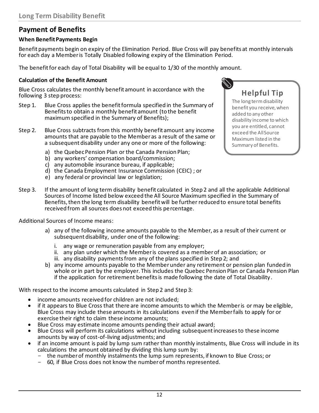## **Payment of Benefits**

#### **When Benefit Payments Begin**

Benefit payments begin on expiry of the Elimination Period. Blue Cross will pay benefits at monthly intervals for each day a Member is Totally Disabled following expiry of the Elimination Period.

The benefit for each day of Total Disability will be equal to 1/30 of the monthly amount.

#### **Calculation of the Benefit Amount**

Blue Cross calculates the monthly benefit amount in accordance with the following 3 step process:

- Step 1. Blue Cross applies the benefit formula specified in the Summary of Benefits to obtain a monthly benefit amount (to the benefit maximum specified in the Summary of Benefits);
- Step 2. Blue Cross subtracts from this monthly benefit amount any income amounts that are payable to the Member as a result of the same or a subsequent disability under any one or more of the following:
	- a) the Quebec Pension Plan or the Canada Pension Plan;
	- b) any workers' compensation board/commission;
	- c) any automobile insurance bureau, if applicable;
	- d) the Canada Employment Insurance Commission (CEIC) ; or
	- e) any federal or provincial law or legislation;

# **Helpful Tip**

The long term disability benefit you receive, when added to any other disability income to which you are entitled, cannot exceed the All Source Maximum listed in the Summary of Benefits.

Step 3. If the amount of long term disability benefit calculated in Step 2 and all the applicable Additional Sources of Income listed below exceed the All Source Maximum specified in the Summary of Benefits, then the long term disability benefit will be further reduced to ensure total benefits received from all sources does not exceed this percentage.

Additional Sources of Income means:

- a) any of the following income amounts payable to the Member, as a result of their current or subsequent disability, under one of the following:
	- i. any wage or remuneration payable from any employer;
	- ii. any plan under which the Member is covered as a member of an association; or
	- iii. any disability payments from any of the plans specified in Step 2; and
- b) any income amounts payable to the Member under any retirement or pension plan funded in whole or in part by the employer. This includes the Quebec Pension Plan or Canada Pension Plan if the application for retirement benefits is made following the date of Total Disability.

With respect to the income amounts calculated in Step 2 and Step 3:

- income amounts received for children are not included;
- if it appears to Blue Cross that there are income amounts to which the Member is or may be eligible, Blue Cross may include these amounts in its calculations even if the Member fails to apply for or exercise their right to claim these income amounts;
- Blue Cross may estimate income amounts pending their actual award;
- Blue Cross will perform its calculations without including subsequent increases to these income amounts by way of cost-of-living adjustments; and
- if an income amount is paid by lump sum rather than monthly instalments, Blue Cross will include in its calculations the amount obtained by dividing this lump sum by:
	- the number of monthly instalments the lump sum represents, if known to Blue Cross; or
	- 60, if Blue Cross does not know the number of months represented.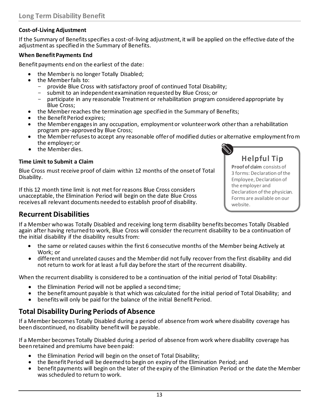#### **Cost-of-Living Adjustment**

If the Summary of Benefits specifies a cost-of-living adjustment, it will be applied on the effective date of the adjustment as specified in the Summary of Benefits.

#### **When Benefit Payments End**

Benefit payments end on the earliest of the date:

- the Member is no longer Totally Disabled;
- the Member fails to:
	- provide Blue Cross with satisfactory proof of continued Total Disability;
	- submit to an independent examination requested by Blue Cross; or
	- participate in any reasonable Treatment or rehabilitation program considered appropriate by Blue Cross;
- the Member reaches the termination age specified in the Summary of Benefits;
- the Benefit Period expires;
- the Member engages in any occupation, employment or volunteer work other than a rehabilitation program pre-approved by Blue Cross;
- the Member refuses to accept any reasonable offer of modified duties or alternative employment from the employer; or
- the Member dies.

#### **Time Limit to Submit a Claim**

Blue Cross must receive proof of claim within 12 months of the onset of Total Disability.

If this 12 month time limit is not met for reasons Blue Cross considers unacceptable, the Elimination Period will begin on the date Blue Cross receives all relevant documents needed to establish proof of disability.

# **Helpful Tip**

**Proof of claim** consists of 3 forms: Declaration of the Employee, Declaration of the employer and Declaration of the physician. Forms are available on our website.

#### **Recurrent Disabilities**

If a Member who was Totally Disabled and receiving long term disability benefits becomes Totally Disabled again after having returned to work, Blue Cross will consider the recurrent disability to be a continuation of the initial disability if the disability results from:

- the same or related causes within the first 6 consecutive months of the Member being Actively at Work; or
- different and unrelated causes and the Member did not fully recover from the first disability and did not return to work for at least a full day before the start of the recurrent disability.

When the recurrent disability is considered to be a continuation of the initial period of Total Disability:

- the Elimination Period will not be applied a second time;
- the benefit amount payable is that which was calculated for the initial period of Total Disability; and
- benefits will only be paid for the balance of the initial Benefit Period.

## **Total Disability During Periods of Absence**

If a Member becomes Totally Disabled during a period of absence from work where disability coverage has been discontinued, no disability benefit will be payable.

If a Member becomes Totally Disabled during a period of absence from work where disability coverage has been retained and premiums have been paid:

- the Elimination Period will begin on the onset of Total Disability;
- the Benefit Period will be deemed to begin on expiry of the Elimination Period; and
- benefit payments will begin on the later of the expiry of the Elimination Period or the date the Member was scheduled to return to work.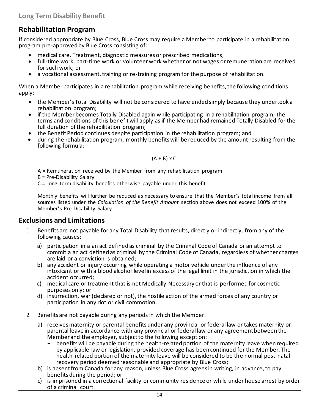## **Rehabilitation Program**

If considered appropriate by Blue Cross, Blue Cross may require a Member to participate in a rehabilitation program pre-approved by Blue Cross consisting of:

- medical care, Treatment, diagnostic measures or prescribed medications;
- full-time work, part-time work or volunteer work whether or not wages or remuneration are received for such work; or
- a vocational assessment, training or re-training program for the purpose of rehabilitation.

When a Member participates in a rehabilitation program while receiving benefits, the following conditions apply:

- the Member's Total Disability will not be considered to have ended simply because they undertook a rehabilitation program;
- if the Member becomes Totally Disabled again while participating in a rehabilitation program, the terms and conditions of this benefit will apply as if the Member had remained Totally Disabled for the full duration of the rehabilitation program;
- the Benefit Period continues despite participation in the rehabilitation program; and
- during the rehabilitation program, monthly benefits will be reduced by the amount resulting from the following formula:

$$
(A \div B) \times C
$$

A = Remuneration received by the Member from any rehabilitation program

B = Pre-Disability Salary

C = Long term disability benefits otherwise payable under this benefit

Monthly benefits will further be reduced as necessary to ensure that the Member's total income from all sources listed under the *Calculation of the Benefit Amount* section above does not exceed 100% of the Member's Pre-Disability Salary.

#### **Exclusions and Limitations**

- 1. Benefits are not payable for any Total Disability that results, directly or indirectly, from any of the following causes:
	- a) participation in a an act defined as criminal by the Criminal Code of Canada or an attempt to commit a an act defined as criminal by the Criminal Code of Canada, regardless of whether charges are laid or a conviction is obtained;
	- b) any accident or injury occurring while operating a motor vehicle under the influence of any intoxicant or with a blood alcohol level in excess of the legal limit in the jurisdiction in which the accident occurred;
	- c) medical care or treatment that is not Medically Necessary or that is performed for cosmetic purposes only; or
	- d) insurrection, war (declared or not), the hostile action of the armed forces of any country or participation in any riot or civil commotion.
- 2. Benefits are not payable during any periods in which the Member:
	- a) receives maternity or parental benefits under any provincial or federal law or takes maternity or parental leave in accordance with any provincial or federal law or any agreement between the Member and the employer, subject to the following exception:
		- benefits will be payable during the health-related portion of the maternity leave when required by applicable law or legislation, provided coverage has been continued for the Member. The health-related portion of the maternity leave will be considered to be the normal post-natal recovery period deemed reasonable and appropriate by Blue Cross;
	- b) is absent from Canada for any reason, unless Blue Cross agrees in writing, in advance, to pay benefits during the period; or
	- c) is imprisoned in a correctional facility or community residence or while under house arrest by order of a criminal court.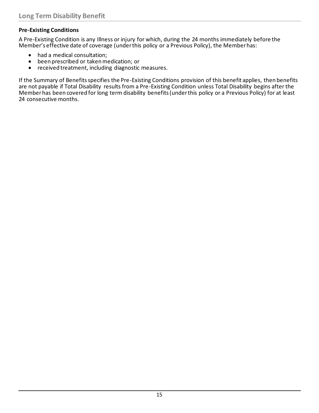#### **Pre-Existing Conditions**

A Pre-Existing Condition is any Illness or injury for which, during the 24 months immediately before the Member's effective date of coverage (under this policy or a Previous Policy), the Member has:

- had a medical consultation;
- been prescribed or taken medication; or
- received treatment, including diagnostic measures.

If the Summary of Benefits specifies the Pre-Existing Conditions provision of this benefit applies, then benefits are not payable if Total Disability results from a Pre-Existing Condition unless Total Disability begins after the Member has been covered for long term disability benefits (under this policy or a Previous Policy) for at least 24 consecutive months.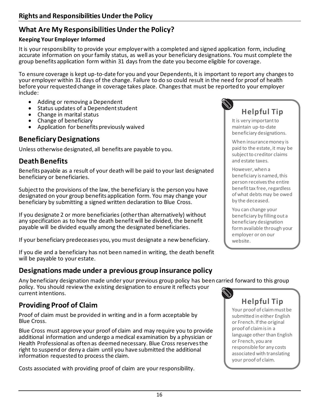## **What Are My Responsibilities Under the Policy?**

#### **Keeping Your Employer Informed**

It is your responsibility to provide your employer with a completed and signed application form, including accurate information on your family status, as well as your beneficiary designations. You must complete the group benefits application form within 31 days from the date you become eligible for coverage.

To ensure coverage is kept up-to-date for you and your Dependents, it is important to report any changes to your employer within 31 days of the change. Failure to do so could result in the need for proof of health before your requested change in coverage takes place. Changes that must be reported to your employer include:

- Adding or removing a Dependent
- Status updates of a Dependent student
- Change in marital status
- Change of beneficiary
- Application for benefits previously waived

## **Beneficiary Designations**

Unless otherwise designated, all benefits are payable to you.

## **Death Benefits**

Benefits payable as a result of your death will be paid to your last designated beneficiary or beneficiaries.

Subject to the provisions of the law, the beneficiary is the person you have designated on your group benefits application form. You may change your beneficiary by submitting a signed written declaration to Blue Cross.

If you designate 2 or more beneficiaries (other than alternatively) without any specification as to how the death benefit will be divided, the benefit payable will be divided equally among the designated beneficiaries.

If your beneficiary predeceases you, you must designate a new beneficiary.

If you die and a beneficiary has not been named in writing, the death benefit will be payable to your estate.

## **Designations made under a previous group insurance policy**

Any beneficiary designation made under your previous group policy has been carried forward to this group policy. You should review the existing designation to ensure it reflects your current intentions.

## **Providing Proof of Claim**

Proof of claim must be provided in writing and in a form acceptable by Blue Cross.

Blue Cross must approve your proof of claim and may require you to provide additional information and undergo a medical examination by a physician or Health Professional as often as deemed necessary. Blue Cross reserves the right to suspend or deny a claim until you have submitted the additional information requested to process the claim.

Costs associated with providing proof of claim are your responsibility.



It is very important to maintain up-to-date beneficiary designations.

When insurance money is paid to the estate, it may be subject to creditor claims and estate taxes.

However, when a beneficiary is named, this person receives the entire benefit tax free, regardless of what debts may be owed by the deceased.

You can change your beneficiary by filling out a beneficiary designation form available through your employer or on our website.



Your proof of claim must be submitted in either English or French. If the original proof of claim is in a language other than English or French, you are responsible for any costs associated with translating your proof of claim.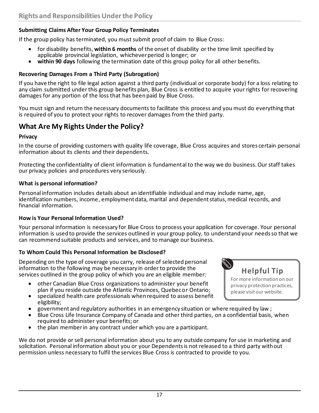#### **Submitting Claims After Your Group Policy Terminates**

If the group policy has terminated, you must submit proof of claim to Blue Cross:

- for disability benefits, **within 6 months** of the onset of disability or the time limit specified by applicable provincial legislation, whichever period is longer; or
- **within 90 days** following the termination date of this group policy for all other benefits.

#### **Recovering Damages From a Third Party (Subrogation)**

If you have the right to file legal action against a third party (individual or corporate body) for a loss relating to any claim submitted under this group benefits plan, Blue Cross is entitled to acquire your rights for recovering damages for any portion of the loss that has been paid by Blue Cross.

You must sign and return the necessary documents to facilitate this process and you must do everything that is required of you to protect your rights to recover damages from the third party.

## **What Are My Rights Under the Policy?**

#### **Privacy**

In the course of providing customers with quality life coverage, Blue Cross acquires and stores certain personal information about its clients and their dependents.

Protecting the confidentiality of client information is fundamental to the way we do business. Our staff takes our privacy policies and procedures very seriously.

#### **What is personal information?**

Personal information includes details about an identifiable individual and may include name, age, identification numbers, income, employment data, marital and dependent status, medical records, and financial information.

#### **How is Your Personal Information Used?**

Your personal information is necessary for Blue Cross to process your application for coverage. Your personal information is used to provide the services outlined in your group policy, to understand your needs so that we can recommend suitable products and services, and to manage our business.

#### **To Whom Could This Personal Information be Disclosed?**

Depending on the type of coverage you carry, release of selected personal information to the following may be necessary in order to provide the services outlined in the group policy of which you are an eligible member:

- other Canadian Blue Cross organizations to administer your benefit plan if you reside outside the Atlantic Provinces, Quebec or Ontario;
- specialized health care professionals when required to assess benefit eligibility;
- government and regulatory authorities in an emergency situation or where required by law ;
- Blue Cross Life Insurance Company of Canada and other third parties, on a confidential basis, when required to administer your benefits; or
- the plan member in any contract under which you are a participant.

We do not provide or sell personal information about you to any outside company for use in marketing and solicitation. Personal information about you or your Dependents is not released to a third party without permission unless necessary to fulfil the services Blue Cross is contracted to provide to you.



For more information on our privacy protection practices, please visit our website.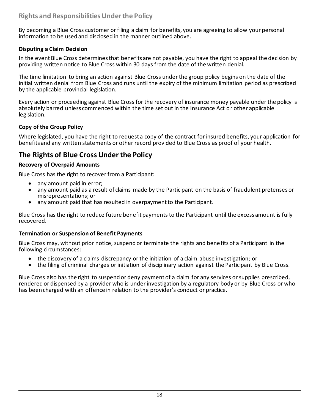By becoming a Blue Cross customer or filing a claim for benefits, you are agreeing to allow your personal information to be used and disclosed in the manner outlined above.

#### **Disputing a Claim Decision**

In the event Blue Cross determines that benefits are not payable, you have the right to appeal the decision by providing written notice to Blue Cross within 30 days from the date of the written denial.

The time limitation to bring an action against Blue Cross under the group policy begins on the date of the initial written denial from Blue Cross and runs until the expiry of the minimum limitation period as prescribed by the applicable provincial legislation.

Every action or proceeding against Blue Cross for the recovery of insurance money payable under the policy is absolutely barred unless commenced within the time set out in the Insurance Act or other applicable legislation.

#### **Copy of the Group Policy**

Where legislated, you have the right to request a copy of the contract for insured benefits, your application for benefits and any written statements or other record provided to Blue Cross as proof of your health.

## **The Rights of Blue Cross Under the Policy**

#### **Recovery of Overpaid Amounts**

Blue Cross has the right to recover from a Participant:

- any amount paid in error;
- any amount paid as a result of claims made by the Participant on the basis of fraudulent pretenses or misrepresentations; or
- any amount paid that has resulted in overpayment to the Participant.

Blue Cross has the right to reduce future benefit payments to the Participant until the excess amount is fully recovered.

#### **Termination or Suspension of Benefit Payments**

Blue Cross may, without prior notice, suspend or terminate the rights and benefits of a Participant in the following circumstances:

- the discovery of a claims discrepancy or the initiation of a claim abuse investigation; or
- the filing of criminal charges or initiation of disciplinary action against the Participant by Blue Cross.

Blue Cross also has the right to suspend or deny payment of a claim for any services or supplies prescribed, rendered or dispensed by a provider who is under investigation by a regulatory body or by Blue Cross or who has been charged with an offence in relation to the provider's conduct or practice.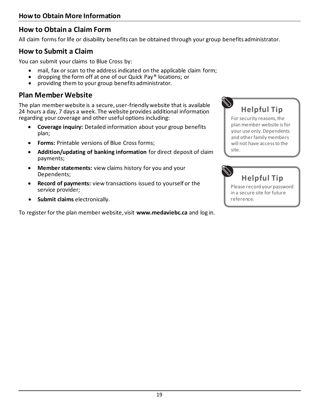## **How to Obtain a Claim Form**

All claim forms for life or disability benefits can be obtained through your group benefits administrator.

## **How to Submit a Claim**

You can submit your claims to Blue Cross by:

- mail, fax or scan to the address indicated on the applicable claim form;
- dropping the form off at one of our Quick Pay® locations; or
- providing them to your group benefits administrator.

## **Plan Member Website**

The plan member website is a secure, user-friendly website that is available 24 hours a day, 7 days a week. The website provides additional information regarding your coverage and other useful options including:

- **Coverage inquiry:** Detailed information about your group benefits plan;
- **Forms:** Printable versions of Blue Cross forms;
- **Addition/updating of banking information** for direct deposit of claim payments;
- **Member statements:** view claims history for you and your Dependents;
- **Record of payments:** view transactions issued to yourself or the service provider;
- **Submit claims** electronically.

To register for the plan member website, visit **www.medaviebc.ca** and log in.



For security reasons, the plan member website is for your use only. Dependents and other family members will not have access to the site.